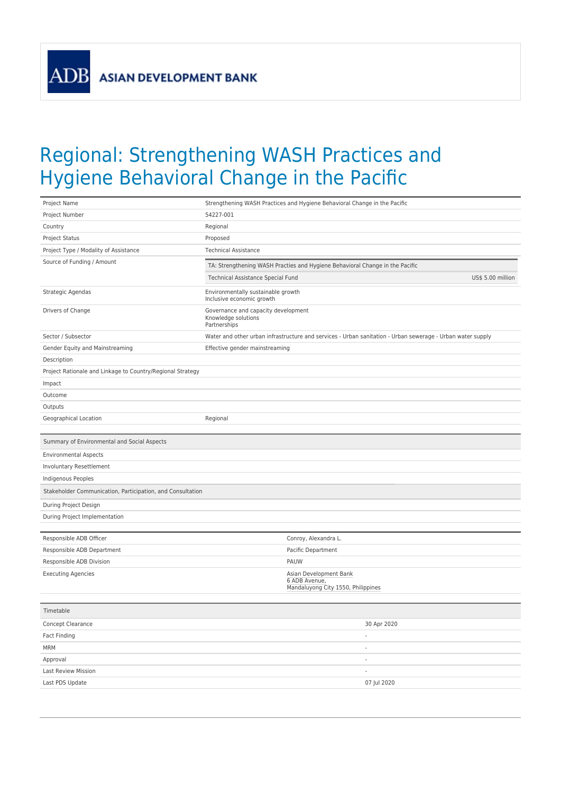ADB

## Regional: Strengthening WASH Practices and Hygiene Behavioral Change in the Pacific

| Project Name                                               | Strengthening WASH Practices and Hygiene Behavioral Change in the Pacific                                  |  |
|------------------------------------------------------------|------------------------------------------------------------------------------------------------------------|--|
| Project Number                                             | 54227-001                                                                                                  |  |
| Country                                                    | Regional                                                                                                   |  |
| Project Status                                             | Proposed                                                                                                   |  |
| Project Type / Modality of Assistance                      | <b>Technical Assistance</b>                                                                                |  |
| Source of Funding / Amount                                 | TA: Strengthening WASH Practies and Hygiene Behavioral Change in the Pacific                               |  |
|                                                            | US\$ 5.00 million<br>Technical Assistance Special Fund                                                     |  |
| Strategic Agendas                                          | Environmentally sustainable growth<br>Inclusive economic growth                                            |  |
| Drivers of Change                                          | Governance and capacity development<br>Knowledge solutions<br>Partnerships                                 |  |
| Sector / Subsector                                         | Water and other urban infrastructure and services - Urban sanitation - Urban sewerage - Urban water supply |  |
| Gender Equity and Mainstreaming                            | Effective gender mainstreaming                                                                             |  |
| Description                                                |                                                                                                            |  |
| Project Rationale and Linkage to Country/Regional Strategy |                                                                                                            |  |
| Impact                                                     |                                                                                                            |  |
| Outcome                                                    |                                                                                                            |  |
| Outputs                                                    |                                                                                                            |  |
| Geographical Location                                      | Regional                                                                                                   |  |
|                                                            |                                                                                                            |  |
| Summary of Environmental and Social Aspects                |                                                                                                            |  |
| <b>Environmental Aspects</b>                               |                                                                                                            |  |
| Involuntary Resettlement                                   |                                                                                                            |  |
| Indigenous Peoples                                         |                                                                                                            |  |
| Stakeholder Communication, Participation, and Consultation |                                                                                                            |  |
| During Project Design                                      |                                                                                                            |  |
| During Project Implementation                              |                                                                                                            |  |
|                                                            |                                                                                                            |  |
| Responsible ADB Officer                                    | Conroy, Alexandra L.                                                                                       |  |
| Responsible ADB Department                                 | Pacific Department                                                                                         |  |
| Responsible ADB Division                                   | PAUW                                                                                                       |  |
| <b>Executing Agencies</b>                                  | Asian Development Bank<br>6 ADB Avenue,<br>Mandaluyong City 1550, Philippines                              |  |
| Timetable                                                  |                                                                                                            |  |
| Concept Clearance                                          | 30 Apr 2020                                                                                                |  |
| Fact Finding                                               | $\overline{\phantom{a}}$                                                                                   |  |
| <b>MRM</b>                                                 |                                                                                                            |  |
| Approval                                                   |                                                                                                            |  |
| Last Review Mission                                        | $\overline{\phantom{a}}$                                                                                   |  |
| Last PDS Update                                            | 07 Jul 2020                                                                                                |  |
|                                                            |                                                                                                            |  |